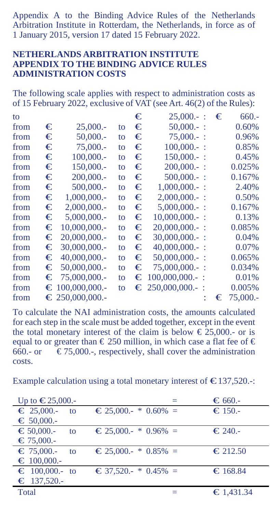Appendix A to the Binding Advice Rules of the Netherlands Arbitration Institute in Rotterdam, the Netherlands, in force as of 1 January 2015, version 17 dated 15 February 2022.

## **NETHERLANDS ARBITRATION INSTITUTE APPENDIX TO THE BINDING ADVICE RULES ADMINISTRATION COSTS**

The following scale applies with respect to administration costs as of 15 February 2022, exclusive of VAT (see Art. 46(2) of the Rules):

| to   |   |                         |    | € | $25,000 -$ :              | € | $660. -$ |
|------|---|-------------------------|----|---|---------------------------|---|----------|
| from | € | 25,000.                 | to | € | $50,000 -$ :              |   | 0.60%    |
| from | € | $50,000 -$              | to | € | $75,000 -$ :              |   | 0.96%    |
| from | € | 75,000.                 | to | € | $100.000 -$ :             |   | 0.85%    |
| from | € | 100,000 .-              | to | € | $150,000 -$ :             |   | 0.45%    |
| from | € | 150,000 .-              | to | € | $200,000 -$ :             |   | 0.025%   |
| from | € | 200,000 .-              | to | € | $500,000 -$ :             |   | 0.167%   |
| from | € | 500,000.                | to | € | $1,000,000 -$ :           |   | 2.40%    |
| from | € | 1,000,000.              | to | € | $2,000,000 -$ :           |   | 0.50%    |
| from | € | 2,000,000.              | to | € | $5.000.000 -$             |   | 0.167%   |
| from | € | 5,000,000.              | to | € | $10,000,000.$ :           |   | 0.13%    |
| from | € | 10,000,000.             | to | € | $20,000,000.$ :           |   | 0.085%   |
| from | € | $20,000,000$ .          | to | € | $30,000,000 -$ :          |   | 0.04%    |
| from | € | $30,000,000$ .          | to | € | $40,000,000$ .            |   | 0.07%    |
| from | € | $40,000,000$ .          | to | € | $50,000,000$ .            |   | 0.065%   |
| from |   | $\epsilon$ 50,000,000.  | to | € | $75,000,000.$ :           |   | 0.034%   |
| from |   | $\epsilon$ 75.000.000.  | to |   | $\epsilon$ 100,000,000. : |   | 0.01%    |
| from |   | $\equiv$ 100,000,000.   | to |   | $\epsilon$ 250,000,000.   |   | 0.005%   |
| from |   | $\epsilon$ 250,000,000. |    |   |                           | € | 75,000.- |
|      |   |                         |    |   |                           |   |          |

To calculate the NAI administration costs, the amounts calculated for each step in the scale must be added together, except in the event the total monetary interest of the claim is below  $\epsilon$  25,000.- or is equal to or greater than  $\text{\textsterling} 250$  million, in which case a flat fee of  $\text{\textsterling} 660$ .- or  $\text{\textsterling} 75.000$ .- respectively, shall cover the administration  $\epsilon$  75,000.-, respectively, shall cover the administration costs.

Example calculation using a total monetary interest of  $\bigtriangleup$ 137,520.-:

| Up to $€25,000.$           |                                                | $\epsilon$ 660.-  |
|----------------------------|------------------------------------------------|-------------------|
| $\epsilon$ 25,000.-<br>to  | $\epsilon$ 25,000.- * 0.60% =                  | $\bigstar$ 150.-  |
| $\epsilon$ 50,000.         |                                                |                   |
| $\epsilon$ = 50,000.<br>to | $\textcolor{red}{\bullet} 25.000 - * 0.96\% =$ | $\bigstar$ 240.-  |
| $\epsilon$ 75,000.-        |                                                |                   |
| $\epsilon$ 75,000.-<br>to  | $\epsilon$ 25,000.- * 0.85% =                  | $\epsilon$ 212.50 |
| $\epsilon$ 100,000.        |                                                |                   |
| $\epsilon$ 100,000.- to    | $\textcircled{\textcirc}$ 37.520.- * 0.45% =   | €168.84           |
| $\epsilon$ 137,520.-       |                                                |                   |
| Total                      |                                                | €1,431.34         |